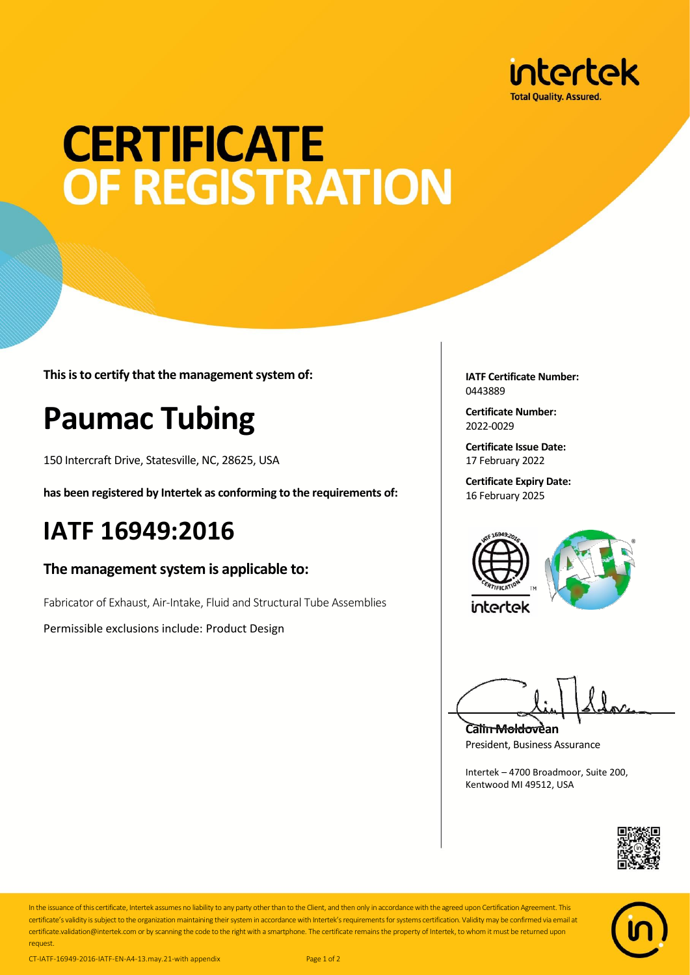

# **CERTIFICATE** OF REGISTRATION

**This is to certify that the management system of:**

## **Paumac Tubing**

150 Intercraft Drive, Statesville, NC, 28625, USA

**has been registered by Intertek as conforming to the requirements of:**

### **IATF 16949:2016**

#### **The management system is applicable to:**

Fabricator of Exhaust, Air-Intake, Fluid and Structural Tube Assemblies

Permissible exclusions include: Product Design

**IATF Certificate Number:** 0443889

**Certificate Number:** 2022-0029

**Certificate Issue Date:** 17 February 2022

**Certificate Expiry Date:** 16 February 2025





**Calin Moldovean** President, Business Assurance

Intertek – 4700 Broadmoor, Suite 200, Kentwood MI 49512, USA





In the issuance of this certificate, Intertek assumes no liability to any party other than to the Client, and then only in accordance with the agreed upon Certification Agreement. This certificate's validity is subject to the organization maintaining their system in accordance with Intertek's requirements for systems certification. Validity may be confirmed via email at certificate.validation@intertek.com or by scanning the code to the right with a smartphone. The certificate remains the property of Intertek, to whom it must be returned upon request.

CT-IATF-16949-2016-IATF-EN-A4-13.may.21-with appendix Page 1 of 2